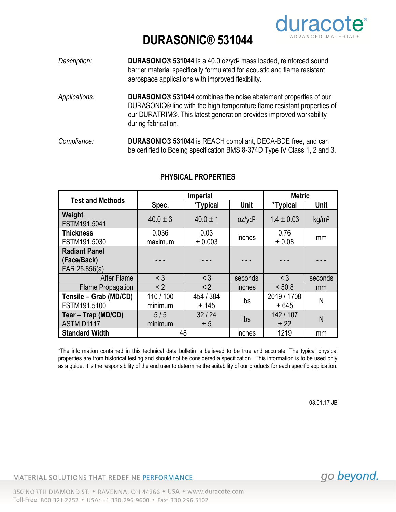

## **DURASONIC® 531044**

- *Description:* **DURASONIC® 531044** is a 40.0 oz/yd<sup>2</sup> mass loaded, reinforced sound barrier material specifically formulated for acoustic and flame resistant aerospace applications with improved flexibility.
- *Applications:* **DURASONIC® 531044** combines the noise abatement properties of our DURASONIC® line with the high temperature flame resistant properties of our DURATRIM®. This latest generation provides improved workability during fabrication.
- *Compliance:* **DURASONIC® 531044** is REACH compliant, DECA-BDE free, and can be certified to Boeing specification BMS 8-374D Type IV Class 1, 2 and 3.

| <b>Test and Methods</b>                              | <b>Imperial</b>      |                    |                    | <b>Metric</b>        |                   |
|------------------------------------------------------|----------------------|--------------------|--------------------|----------------------|-------------------|
|                                                      | Spec.                | *Typical           | <b>Unit</b>        | <i>*</i> Typical     | <b>Unit</b>       |
| Weight<br>FSTM191.5041                               | $40.0 \pm 3$         | $40.0 \pm 1$       | oz/yd <sup>2</sup> | $1.4 \pm 0.03$       | kg/m <sup>2</sup> |
| <b>Thickness</b><br>FSTM191.5030                     | 0.036<br>maximum     | 0.03<br>± 0.003    | inches             | 0.76<br>± 0.08       | mm                |
| <b>Radiant Panel</b><br>(Face/Back)<br>FAR 25.856(a) |                      |                    |                    |                      |                   |
| <b>After Flame</b>                                   | $<$ 3                | $<$ 3              | seconds            | $<$ 3                | seconds           |
| <b>Flame Propagation</b>                             | < 2                  | < 2                | inches             | < 50.8               | mm                |
| Tensile - Grab (MD/CD)<br>FSTM191.5100               | 110 / 100<br>minimum | 454 / 384<br>± 145 | lbs                | 2019 / 1708<br>± 645 | N                 |
| Tear - Trap (MD/CD)<br>ASTM D1117                    | 5/5<br>minimum       | 32/24<br>± 5       | Ibs                | 142 / 107<br>± 22    | N                 |
| <b>Standard Width</b>                                | 48                   |                    | inches             | 1219                 | mm                |

## **PHYSICAL PROPERTIES**

\*The information contained in this technical data bulletin is believed to be true and accurate. The typical physical properties are from historical testing and should not be considered a specification. This information is to be used only as a guide. It is the responsibility of the end user to determine the suitability of our products for each specific application.

03.01.17 JB

MATERIAL SOLUTIONS THAT REDEFINE PERFORMANCE

go beyond.